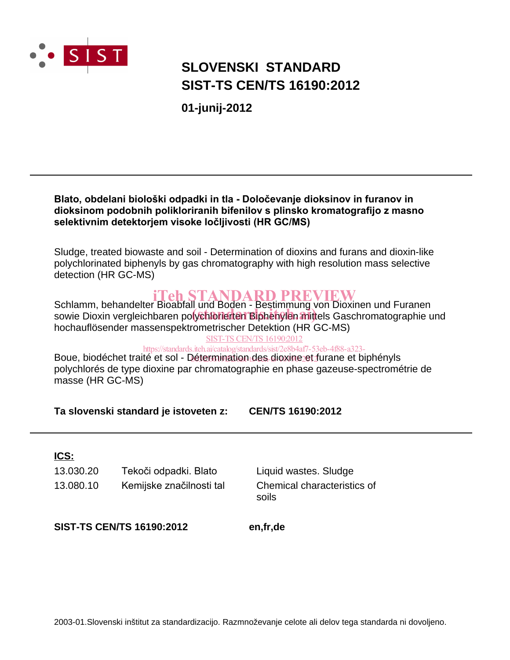

# **SLOVENSKI STANDARD SIST-TS CEN/TS 16190:2012**

01-junij-2012

### Blato, obdelani biološki odpadki in tla - Določevanje dioksinov in furanov in dioksinom podobnih polikloriranih bifenilov s plinsko kromatografijo z masno selektivnim detektorjem visoke ločljivosti (HR GC/MS)

Sludge, treated biowaste and soil - Determination of dioxins and furans and dioxin-like polychlorinated biphenyls by gas chromatography with high resolution mass selective detection (HR GC-MS)

**Schlamm, behandelter Bioabfall und Boden - Bestimmung von Dioxinen und Furanen** sowie Dioxin vergleichbaren polychlorierten Biphenylen mittels Gaschromatographie und hochauflösender massenspektrometrischer Detektion (HR GC-MS)

**SIST-TS CEN/TS 16190:2012** 

https://standards.iteh.ai/catalog/standards/sist/2e8b4af7-53eb-4f88-a323-

Boue, biodéchet traité et sol - Détermination des dioxine et furane et biphényls polychlorés de type dioxine par chromatographie en phase gazeuse-spectrométrie de masse (HR GC-MS)

Ta slovenski standard je istoveten z: **CEN/TS 16190:2012** 

### ICS:

13.030.20 Tekoči odpadki. Blato 13.080.10 Kemijske značilnosti tal

Liquid wastes. Sludge Chemical characteristics of soils

**SIST-TS CEN/TS 16190:2012** 

en,fr,de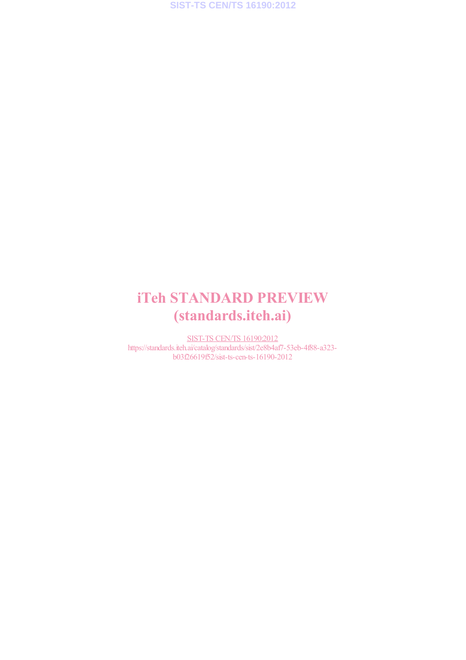# iTeh STANDARD PREVIEW (standards.iteh.ai)

SIST-TS CEN/TS 16190:2012 https://standards.iteh.ai/catalog/standards/sist/2e8b4af7-53eb-4f88-a323 b03f26619f52/sist-ts-cen-ts-16190-2012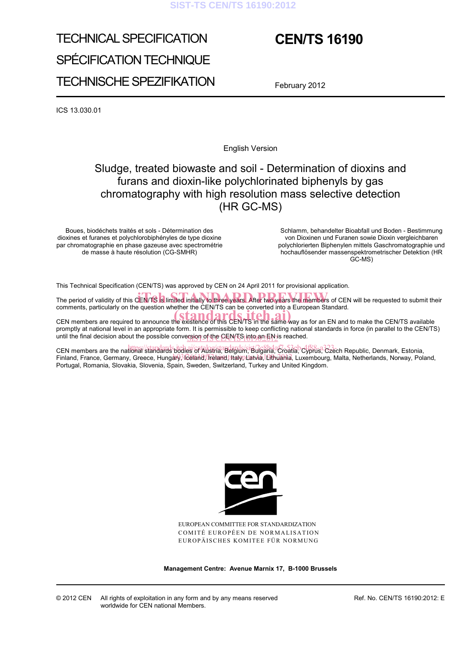#### **SIST-TS CEN/TS 16190:2012**

# TECHNICAL SPECIFICATION SPÉCIFICATION TECHNIQUE TECHNISCHE SPEZIFIKATION

# **CEN/TS 16190**

February 2012

ICS 13.030.01

English Version

### Sludge, treated biowaste and soil - Determination of dioxins and furans and dioxin-like polychlorinated biphenyls by gas chromatography with high resolution mass selective detection (HR GC-MS)

Boues, biodéchets traités et sols - Détermination des dioxines et furanes et polychlorobiphényles de type dioxine par chromatographie en phase gazeuse avec spectrométrie de masse à haute résolution (CG-SMHR)

 Schlamm, behandelter Bioabfall und Boden - Bestimmung von Dioxinen und Furanen sowie Dioxin vergleichbaren polychlorierten Biphenylen mittels Gaschromatographie und hochauflösender massenspektrometrischer Detektion (HR GC-MS)

This Technical Specification (CEN/TS) was approved by CEN on 24 April 2011 for provisional application.

The period of validity of this CEN/TS is limited initially to three years. After two years the members of CEN will be requested to submit their comments, particularly on the question whether the CEN/TS can be converted into a European Standard.

CEN members are required to announce the existence of this CEN/TS in the same way as for an EN and to make the CEN/TS available promptly at national level in an appropriate form. It is permissible to keep conflicting national standards in force (in parallel to the CEN/TS) until the final decision about the possible conversion of the CEN/TS into an EN is reached.

CEN members are the national standards. itch.ai/Gatalog/standards/sist/2e8b4a67-53ab-4f88-a323-ach Republic, Denmark, Estonia, Finland, France, Germany, Greece, Hungary, Iceland, Treland, Italyn Latvia, Luthuania, Luxembourg, Malta, Netherlands, Norway, Poland, Portugal, Romania, Slovakia, Slovenia, Spain, Sweden, Switzerland, Turkey and United Kingdom.



EUROPEAN COMMITTEE FOR STANDARDIZATION COMITÉ EUROPÉEN DE NORMALISATION EUROPÄISCHES KOMITEE FÜR NORMUNG

**Management Centre: Avenue Marnix 17, B-1000 Brussels** 

Ref. No. CEN/TS 16190:2012: E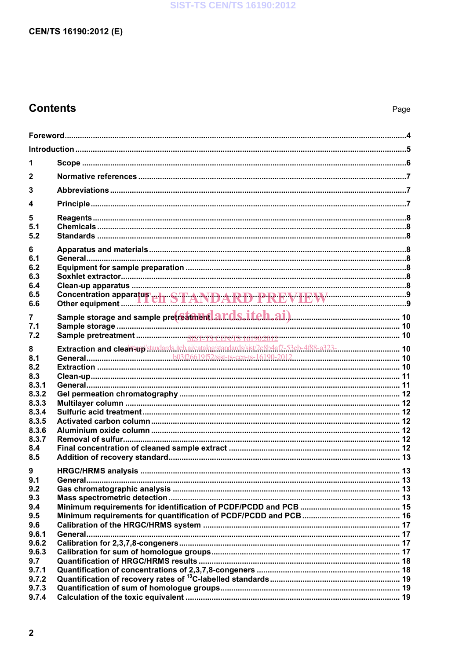### **SIST-TS CEN/TS 16190:2012**

### CEN/TS 16190:2012 (E)

## **Contents**

| 1              |                                                 |  |  |  |
|----------------|-------------------------------------------------|--|--|--|
| $\mathbf{2}$   |                                                 |  |  |  |
| 3              |                                                 |  |  |  |
| 4              |                                                 |  |  |  |
| 5              |                                                 |  |  |  |
| 5.1            |                                                 |  |  |  |
| 5.2            |                                                 |  |  |  |
| 6<br>6.1       |                                                 |  |  |  |
| 6.2            |                                                 |  |  |  |
| 6.3            |                                                 |  |  |  |
| 6.4<br>6.5     |                                                 |  |  |  |
| 6.6            | Concentration apparatus et  STANDARD PREVIEW 39 |  |  |  |
| 7              |                                                 |  |  |  |
| 7.1            |                                                 |  |  |  |
| 7.2            |                                                 |  |  |  |
| 8<br>8.1       |                                                 |  |  |  |
| 8.2            |                                                 |  |  |  |
| 8.3            |                                                 |  |  |  |
| 8.3.1          |                                                 |  |  |  |
| 8.3.2<br>8.3.3 |                                                 |  |  |  |
| 8.3.4          |                                                 |  |  |  |
| 8.3.5          |                                                 |  |  |  |
| 8.3.6<br>8.3.7 |                                                 |  |  |  |
| 8.4            |                                                 |  |  |  |
| 8.5            |                                                 |  |  |  |
| 9              |                                                 |  |  |  |
| 9.1<br>9.2     |                                                 |  |  |  |
| 9.3            |                                                 |  |  |  |
| 9.4            |                                                 |  |  |  |
| 9.5            |                                                 |  |  |  |
| 9.6<br>9.6.1   |                                                 |  |  |  |
| 9.6.2          |                                                 |  |  |  |
| 9.6.3          |                                                 |  |  |  |
| 9.7<br>9.7.1   |                                                 |  |  |  |
| 9.7.2          |                                                 |  |  |  |
| 9.7.3          |                                                 |  |  |  |
| 9.7.4          |                                                 |  |  |  |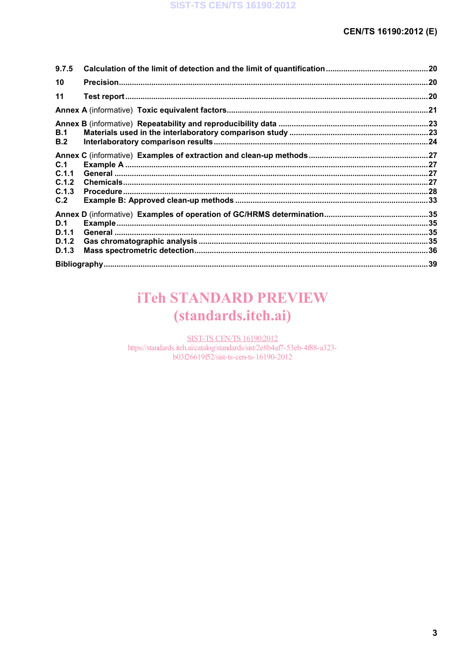| 9.7.5                                 |  |
|---------------------------------------|--|
| 10                                    |  |
| 11                                    |  |
|                                       |  |
| B.1<br>B.2                            |  |
| C.1<br>C.1.1<br>C.1.2<br>C.1.3<br>C.2 |  |
| D.1<br>D.1.1<br>D.1.2<br>D.1.3        |  |
|                                       |  |

# **iTeh STANDARD PREVIEW** (standards.iteh.ai)

**SIST-TS CEN/TS 16190:2012** 

https://standards.iteh.ai/catalog/standards/sist/2e8b4af7-53eb-4f88-a323b03f26619f52/sist-ts-cen-ts-16190-2012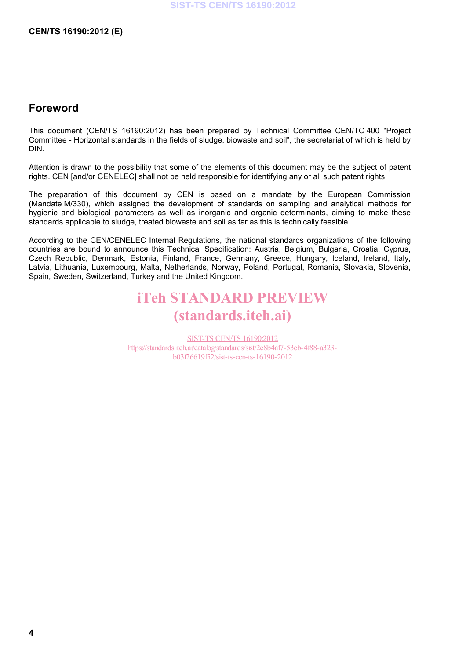### **Foreword**

This document (CEN/TS 16190:2012) has been prepared by Technical Committee CEN/TC 400 "Project Committee - Horizontal standards in the fields of sludge, biowaste and soil", the secretariat of which is held by DIN.

Attention is drawn to the possibility that some of the elements of this document may be the subject of patent rights. CEN [and/or CENELEC] shall not be held responsible for identifying any or all such patent rights.

The preparation of this document by CEN is based on a mandate by the European Commission (Mandate M/330), which assigned the development of standards on sampling and analytical methods for hygienic and biological parameters as well as inorganic and organic determinants, aiming to make these standards applicable to sludge, treated biowaste and soil as far as this is technically feasible.

According to the CEN/CENELEC Internal Regulations, the national standards organizations of the following countries are bound to announce this Technical Specification: Austria, Belgium, Bulgaria, Croatia, Cyprus, Czech Republic, Denmark, Estonia, Finland, France, Germany, Greece, Hungary, Iceland, Ireland, Italy, Latvia, Lithuania, Luxembourg, Malta, Netherlands, Norway, Poland, Portugal, Romania, Slovakia, Slovenia, Spain, Sweden, Switzerland, Turkey and the United Kingdom.

# iTeh STANDARD PREVIEW (standards.iteh.ai)

SIST-TS CEN/TS 16190:2012 https://standards.iteh.ai/catalog/standards/sist/2e8b4af7-53eb-4f88-a323 b03f26619f52/sist-ts-cen-ts-16190-2012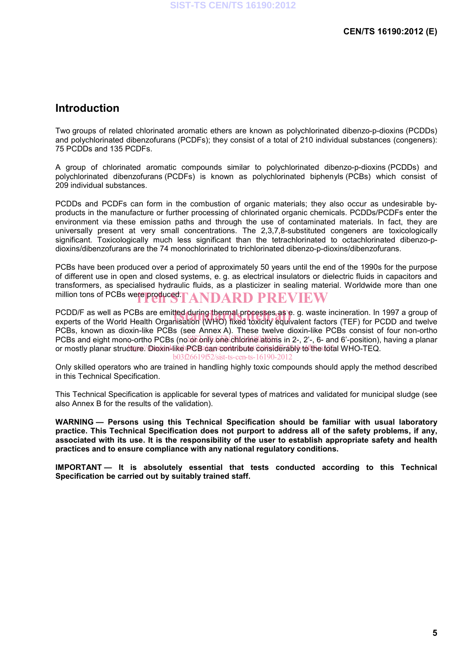### **Introduction**

Two groups of related chlorinated aromatic ethers are known as polychlorinated dibenzo-p-dioxins (PCDDs) and polychlorinated dibenzofurans (PCDFs); they consist of a total of 210 individual substances (congeners): 75 PCDDs and 135 PCDFs.

A group of chlorinated aromatic compounds similar to polychlorinated dibenzo-p-dioxins (PCDDs) and polychlorinated dibenzofurans (PCDFs) is known as polychlorinated biphenyls (PCBs) which consist of 209 individual substances.

PCDDs and PCDFs can form in the combustion of organic materials; they also occur as undesirable byproducts in the manufacture or further processing of chlorinated organic chemicals. PCDDs/PCDFs enter the environment via these emission paths and through the use of contaminated materials. In fact, they are universally present at very small concentrations. The 2,3,7,8-substituted congeners are toxicologically significant. Toxicologically much less significant than the tetrachlorinated to octachlorinated dibenzo-pdioxins/dibenzofurans are the 74 monochlorinated to trichlorinated dibenzo-p-dioxins/dibenzofurans.

PCBs have been produced over a period of approximately 50 years until the end of the 1990s for the purpose of different use in open and closed systems, e. g. as electrical insulators or dielectric fluids in capacitors and transformers, as specialised hydraulic fluids, as a plasticizer in sealing material. Worldwide more than one million tons of PCBs were produced.  $\Gamma \textbf{ANDARD PREVIEW}$ 

PCDD/F as well as PCBs are emitted during thermal processes as e. g. waste incineration. In 1997 a group of<br>experts of the World Health Organisation (WHO) fixed toxicity equivalent factors (TEF) for PCDD and twelve experts of the World Health Organisation (WHO) fixed toxicity equivalent factors (TEF) for PCDD and twelve PCBs, known as dioxin-like PCBs (see Annex A). These twelve dioxin-like PCBs consist of four non-ortho PCBs and eight mono-ortho PCBs (no oblight) one childrine atoms in 2-, 2'-, 6- and 6'-position), having a planar or mostly planar structure/ Dioxin-like PCB can contribute considerably to the total WHO-TEQ.

b03f26619f52/sist-ts-cen-ts-16190-2012

Only skilled operators who are trained in handling highly toxic compounds should apply the method described in this Technical Specification.

This Technical Specification is applicable for several types of matrices and validated for municipal sludge (see also Annex B for the results of the validation).

**WARNING — Persons using this Technical Specification should be familiar with usual laboratory practice. This Technical Specification does not purport to address all of the safety problems, if any, associated with its use. It is the responsibility of the user to establish appropriate safety and health practices and to ensure compliance with any national regulatory conditions.** 

**IMPORTANT — It is absolutely essential that tests conducted according to this Technical Specification be carried out by suitably trained staff.**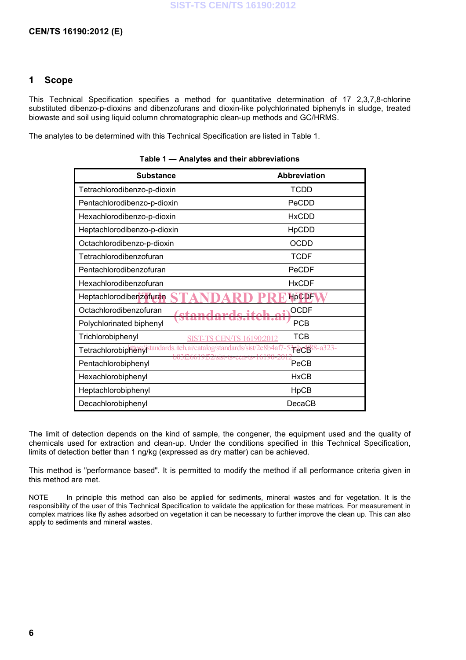#### **CEN/TS 16190:2012 (E)**

#### **1 Scope**

This Technical Specification specifies a method for quantitative determination of 17 2,3,7,8-chlorine substituted dibenzo-p-dioxins and dibenzofurans and dioxin-like polychlorinated biphenyls in sludge, treated biowaste and soil using liquid column chromatographic clean-up methods and GC/HRMS.

The analytes to be determined with this Technical Specification are listed in Table 1.

| <b>Substance</b>                                                     | <b>Abbreviation</b>             |
|----------------------------------------------------------------------|---------------------------------|
| Tetrachlorodibenzo-p-dioxin                                          | <b>TCDD</b>                     |
| Pentachlorodibenzo-p-dioxin                                          | PeCDD                           |
| Hexachlorodibenzo-p-dioxin                                           | <b>HxCDD</b>                    |
| Heptachlorodibenzo-p-dioxin                                          | <b>HpCDD</b>                    |
| Octachlorodibenzo-p-dioxin                                           | <b>OCDD</b>                     |
| Tetrachlorodibenzofuran                                              | <b>TCDF</b>                     |
| Pentachlorodibenzofuran                                              | PeCDF                           |
| Hexachlorodibenzofuran                                               | <b>HxCDF</b>                    |
| Heptachlorodibenzofuran                                              | <b>HpCDF</b>                    |
| Octachlorodibenzofuran                                               | <b>OCDF</b>                     |
| Polychlorinated biphenyl                                             | <b>PCB</b>                      |
| Trichlorobiphenyl                                                    | <b>TCB</b><br>CEN/TS 16190:2012 |
| Tetrachlorobipheny standards.iteh.ai/catalog/standards/sist/2e8b4af7 | Fect 8-a323-                    |
| 2/SISt-1S-<br>Pentachlorobiphenyl                                    | PeCB                            |
| Hexachlorobiphenyl                                                   | <b>HxCB</b>                     |
| Heptachlorobiphenyl                                                  | HpCB                            |
| Decachlorobiphenyl                                                   | DecaCB                          |

**Table 1 — Analytes and their abbreviations** 

The limit of detection depends on the kind of sample, the congener, the equipment used and the quality of chemicals used for extraction and clean-up. Under the conditions specified in this Technical Specification, limits of detection better than 1 ng/kg (expressed as dry matter) can be achieved.

This method is "performance based". It is permitted to modify the method if all performance criteria given in this method are met.

NOTE In principle this method can also be applied for sediments, mineral wastes and for vegetation. It is the responsibility of the user of this Technical Specification to validate the application for these matrices. For measurement in complex matrices like fly ashes adsorbed on vegetation it can be necessary to further improve the clean up. This can also apply to sediments and mineral wastes.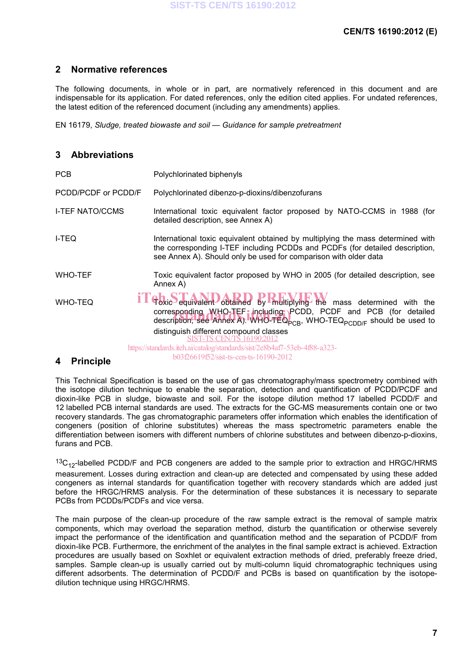### **2 Normative references**

The following documents, in whole or in part, are normatively referenced in this document and are indispensable for its application. For dated references, only the edition cited applies. For undated references, the latest edition of the referenced document (including any amendments) applies.

EN 16179, *Sludge, treated biowaste and soil — Guidance for sample pretreatment*

### **3 Abbreviations**

| <b>PCB</b>                                 | Polychlorinated biphenyls                                                                                                                                                                                                                     |
|--------------------------------------------|-----------------------------------------------------------------------------------------------------------------------------------------------------------------------------------------------------------------------------------------------|
| PCDD/PCDF or PCDD/F                        | Polychlorinated dibenzo-p-dioxins/dibenzofurans                                                                                                                                                                                               |
| <b>I-TEF NATO/CCMS</b>                     | International toxic equivalent factor proposed by NATO-CCMS in 1988 (for<br>detailed description, see Annex A)                                                                                                                                |
| I-TEQ                                      | International toxic equivalent obtained by multiplying the mass determined with<br>the corresponding I-TEF including PCDDs and PCDFs (for detailed description,<br>see Annex A). Should only be used for comparison with older data           |
| <b>WHO-TEF</b>                             | Toxic equivalent factor proposed by WHO in 2005 (for detailed description, see<br>Annex A)                                                                                                                                                    |
| <b>WHO-TEQ</b>                             | Foxic equivalent obtained by multiplying the mass determined with the<br>corresponding WHO-TEF: including PCDD, PCDF and PCB (for detailed<br>description, see Annex A). WHO-TEQ <sub>PCB</sub> , WHO-TEQ <sub>PCDD/F</sub> should be used to |
|                                            | distinguish different compound classes<br>SIST-TS CEN/TS 16190:2012                                                                                                                                                                           |
|                                            | https://standards.iteh.ai/catalog/standards/sist/2e8b4af7-53eb-4f88-a323-<br>b03f26619f52/sist-ts-cen-ts-16190-2012                                                                                                                           |
| <b>Drincinlo</b><br>$\boldsymbol{\Lambda}$ |                                                                                                                                                                                                                                               |

#### **4 Principle**

This Technical Specification is based on the use of gas chromatography/mass spectrometry combined with the isotope dilution technique to enable the separation, detection and quantification of PCDD/PCDF and dioxin-like PCB in sludge, biowaste and soil. For the isotope dilution method 17 labelled PCDD/F and 12 labelled PCB internal standards are used. The extracts for the GC-MS measurements contain one or two recovery standards. The gas chromatographic parameters offer information which enables the identification of congeners (position of chlorine substitutes) whereas the mass spectrometric parameters enable the differentiation between isomers with different numbers of chlorine substitutes and between dibenzo-p-dioxins, furans and PCB.

 $13C_{12}$ -labelled PCDD/F and PCB congeners are added to the sample prior to extraction and HRGC/HRMS measurement. Losses during extraction and clean-up are detected and compensated by using these added congeners as internal standards for quantification together with recovery standards which are added just before the HRGC/HRMS analysis. For the determination of these substances it is necessary to separate PCBs from PCDDs/PCDFs and vice versa.

The main purpose of the clean-up procedure of the raw sample extract is the removal of sample matrix components, which may overload the separation method, disturb the quantification or otherwise severely impact the performance of the identification and quantification method and the separation of PCDD/F from dioxin-like PCB. Furthermore, the enrichment of the analytes in the final sample extract is achieved. Extraction procedures are usually based on Soxhlet or equivalent extraction methods of dried, preferably freeze dried, samples. Sample clean-up is usually carried out by multi-column liquid chromatographic techniques using different adsorbents. The determination of PCDD/F and PCBs is based on quantification by the isotopedilution technique using HRGC/HRMS.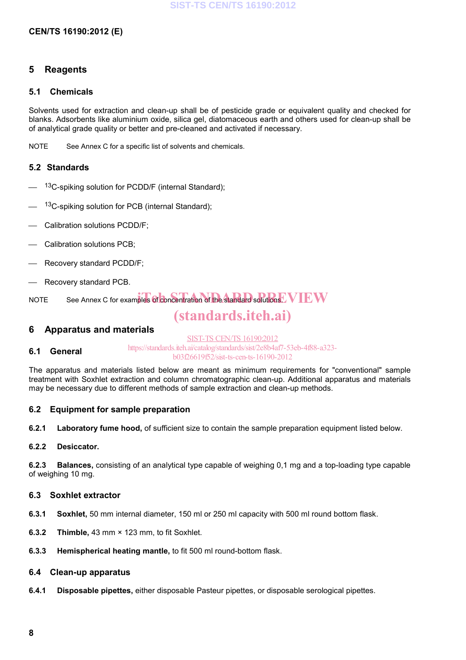#### **CEN/TS 16190:2012 (E)**

#### **5 Reagents**

#### **5.1 Chemicals**

Solvents used for extraction and clean-up shall be of pesticide grade or equivalent quality and checked for blanks. Adsorbents like aluminium oxide, silica gel, diatomaceous earth and others used for clean-up shall be of analytical grade quality or better and pre-cleaned and activated if necessary.

NOTE See Annex C for a specific list of solvents and chemicals.

#### **5.2 Standards**

- <sup>13</sup>C-spiking solution for PCDD/F (internal Standard);
- <sup>13</sup>C-spiking solution for PCB (internal Standard);
- Calibration solutions PCDD/F;
- Calibration solutions PCB;
- Recovery standard PCDD/F;
- Recovery standard PCB.

NOTE See Annex C for examples of concentration of the standard solutions. WIEW

# (standards.iteh.ai)

#### **6 Apparatus and materials**

#### **6.1 General**  SIST-TS CEN/TS 16190:2012 https://standards.iteh.ai/catalog/standards/sist/2e8b4af7-53eb-4f88-a323 b03f26619f52/sist-ts-cen-ts-16190-2012

The apparatus and materials listed below are meant as minimum requirements for "conventional" sample treatment with Soxhlet extraction and column chromatographic clean-up. Additional apparatus and materials may be necessary due to different methods of sample extraction and clean-up methods.

#### **6.2 Equipment for sample preparation**

**6.2.1 Laboratory fume hood,** of sufficient size to contain the sample preparation equipment listed below.

#### **6.2.2 Desiccator.**

**6.2.3 Balances,** consisting of an analytical type capable of weighing 0,1 mg and a top-loading type capable of weighing 10 mg.

#### **6.3 Soxhlet extractor**

- **6.3.1 Soxhlet,** 50 mm internal diameter, 150 ml or 250 ml capacity with 500 ml round bottom flask.
- **6.3.2 Thimble,** 43 mm × 123 mm, to fit Soxhlet.
- **6.3.3 Hemispherical heating mantle,** to fit 500 ml round-bottom flask.

#### **6.4 Clean-up apparatus**

**6.4.1 Disposable pipettes,** either disposable Pasteur pipettes, or disposable serological pipettes.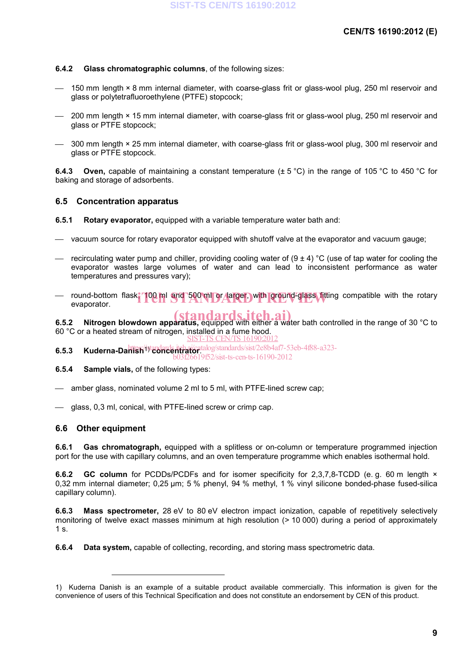#### **6.4.2 Glass chromatographic columns**, of the following sizes:

- 150 mm length × 8 mm internal diameter, with coarse-glass frit or glass-wool plug, 250 ml reservoir and glass or polytetrafluoroethylene (PTFE) stopcock;
- $-$  200 mm length × 15 mm internal diameter, with coarse-glass frit or glass-wool plug, 250 ml reservoir and glass or PTFE stopcock;
- $-$  300 mm length × 25 mm internal diameter, with coarse-glass frit or glass-wool plug, 300 ml reservoir and glass or PTFE stopcock.

**6.4.3 Oven,** capable of maintaining a constant temperature (± 5 °C) in the range of 105 °C to 450 °C for baking and storage of adsorbents.

#### **6.5 Concentration apparatus**

**6.5.1 Rotary evaporator,** equipped with a variable temperature water bath and:

- vacuum source for rotary evaporator equipped with shutoff valve at the evaporator and vacuum gauge;
- recirculating water pump and chiller, providing cooling water of  $(9 \pm 4)$  °C (use of tap water for cooling the evaporator wastes large volumes of water and can lead to inconsistent performance as water temperatures and pressures vary);
- round-bottom flask, 100 ml and 500 ml or larger, with ground-glass fitting compatible with the rotary<br>evaporator. evaporator.

**6.5.2** Nitrogen blowdown apparatus, equipped with either a water bath controlled in the range of 30 °C to 60 °C or a heated stream of nitrogen, installed in a fume hood. SIST-TS CEN/TS 16190:2012

**6.5.3 Kuderna-Danish**1) **concentrator**. https://standards.iteh.ai/catalog/standards/sist/2e8b4af7-53eb-4f88-a323b03f26619f52/sist-ts-cen-ts-16190-2012

**6.5.4 Sample vials,** of the following types:

amber glass, nominated volume 2 ml to 5 ml, with PTFE-lined screw cap;

glass, 0,3 ml, conical, with PTFE-lined screw or crimp cap.

#### **6.6 Other equipment**

 $\overline{a}$ 

**6.6.1 Gas chromatograph,** equipped with a splitless or on-column or temperature programmed injection port for the use with capillary columns, and an oven temperature programme which enables isothermal hold.

**6.6.2 GC column** for PCDDs/PCDFs and for isomer specificity for 2,3,7,8-TCDD (e.g. 60 m length  $\times$ 0,32 mm internal diameter; 0,25 µm; 5 % phenyl, 94 % methyl, 1 % vinyl silicone bonded-phase fused-silica capillary column).

**6.6.3 Mass spectrometer,** 28 eV to 80 eV electron impact ionization, capable of repetitively selectively monitoring of twelve exact masses minimum at high resolution (> 10 000) during a period of approximately 1 s.

**6.6.4 Data system,** capable of collecting, recording, and storing mass spectrometric data.

<sup>1)</sup> Kuderna Danish is an example of a suitable product available commercially. This information is given for the convenience of users of this Technical Specification and does not constitute an endorsement by CEN of this product.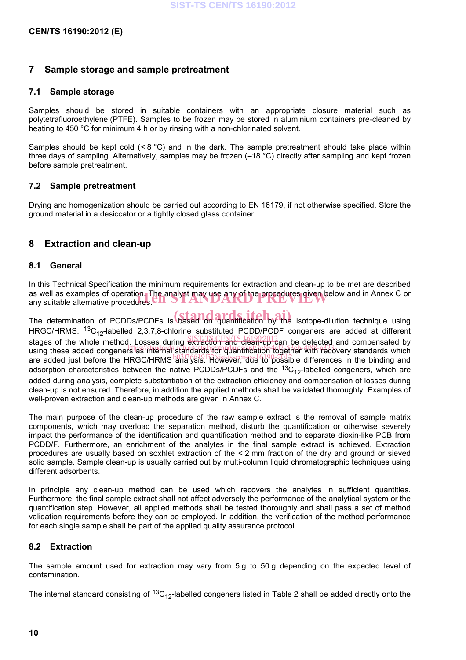#### **7 Sample storage and sample pretreatment**

#### **7.1 Sample storage**

Samples should be stored in suitable containers with an appropriate closure material such as polytetrafluoroethylene (PTFE). Samples to be frozen may be stored in aluminium containers pre-cleaned by heating to 450 °C for minimum 4 h or by rinsing with a non-chlorinated solvent.

Samples should be kept cold  $(< 8 \degree C)$  and in the dark. The sample pretreatment should take place within three days of sampling. Alternatively, samples may be frozen (–18 °C) directly after sampling and kept frozen before sample pretreatment.

#### **7.2 Sample pretreatment**

Drying and homogenization should be carried out according to EN 16179, if not otherwise specified. Store the ground material in a desiccator or a tightly closed glass container.

### **8 Extraction and clean-up**

#### **8.1 General**

In this Technical Specification the minimum requirements for extraction and clean-up to be met are described as well as examples of operation. The analyst may use any of the procedures given below and in Annex C or<br>any suitable alternative procedures. CALS TANDARD AND FIRE PRECIPTY OF N any suitable alternative procedures  $\mathbf{C}\mathbf{H} \mathbf{S}\mathbf{I} \mathbf{A}\mathbf{I}$ 

The determination of PCDDs/PCDFs is based on quantification by the isotope-dilution technique using HRGC/HRMS.  ${}^{13}C_{12}$ -labelled 2,3,7,8-chlorine substituted PCDD/PCDF congeners are added at different stages of the whole method. Losses during extraction and clean-up can be detected and compensated by etages of the whole method. Ecoses dailing oxidently and electrication together with recovery standards which are added just before the HRGC/HRMS and all analysis. However, due to possible differences in the binding and adsorption characteristics between the native PCDDs/PCDFs and the  ${}^{13}C_{12}$ -labelled congeners, which are added during analysis, complete substantiation of the extraction efficiency and compensation of losses during clean-up is not ensured. Therefore, in addition the applied methods shall be validated thoroughly. Examples of well-proven extraction and clean-up methods are given in Annex C.

The main purpose of the clean-up procedure of the raw sample extract is the removal of sample matrix components, which may overload the separation method, disturb the quantification or otherwise severely impact the performance of the identification and quantification method and to separate dioxin-like PCB from PCDD/F. Furthermore, an enrichment of the analytes in the final sample extract is achieved. Extraction procedures are usually based on soxhlet extraction of the < 2 mm fraction of the dry and ground or sieved solid sample. Sample clean-up is usually carried out by multi-column liquid chromatographic techniques using different adsorbents.

In principle any clean-up method can be used which recovers the analytes in sufficient quantities. Furthermore, the final sample extract shall not affect adversely the performance of the analytical system or the quantification step. However, all applied methods shall be tested thoroughly and shall pass a set of method validation requirements before they can be employed. In addition, the verification of the method performance for each single sample shall be part of the applied quality assurance protocol.

#### **8.2 Extraction**

The sample amount used for extraction may vary from 5 g to 50 g depending on the expected level of contamination.

The internal standard consisting of  ${}^{13}C_{12}$ -labelled congeners listed in Table 2 shall be added directly onto the